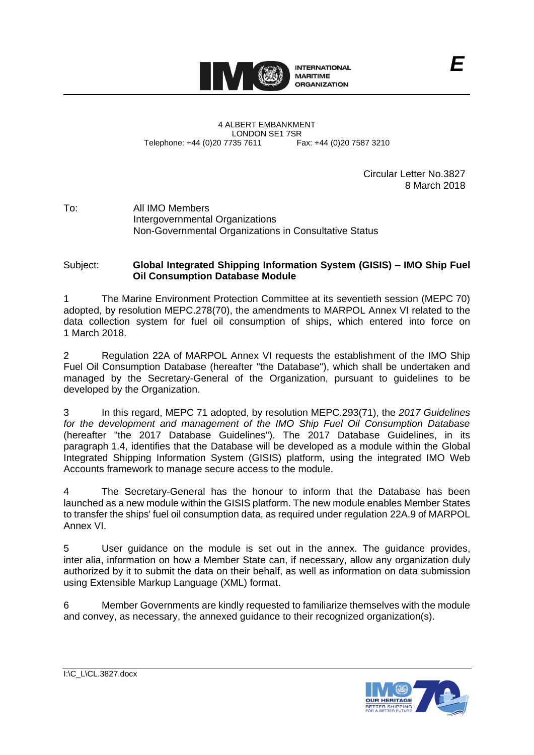

4 ALBERT EMBANKMENT LONDON SE1 7SR<br>735 7611 Fax: +44 (0)20 7587 3210 Telephone: +44 (0)20 7735 7611

Circular Letter No.3827 8 March 2018

To: All IMO Members Intergovernmental Organizations Non-Governmental Organizations in Consultative Status

### Subject: **Global Integrated Shipping Information System (GISIS) – IMO Ship Fuel Oil Consumption Database Module**

1 The Marine Environment Protection Committee at its seventieth session (MEPC 70) adopted, by resolution MEPC.278(70), the amendments to MARPOL Annex VI related to the data collection system for fuel oil consumption of ships, which entered into force on 1 March 2018.

2 Regulation 22A of MARPOL Annex VI requests the establishment of the IMO Ship Fuel Oil Consumption Database (hereafter "the Database"), which shall be undertaken and managed by the Secretary-General of the Organization, pursuant to guidelines to be developed by the Organization.

3 In this regard, MEPC 71 adopted, by resolution MEPC.293(71), the *2017 Guidelines for the development and management of the IMO Ship Fuel Oil Consumption Database* (hereafter "the 2017 Database Guidelines"). The 2017 Database Guidelines, in its paragraph 1.4, identifies that the Database will be developed as a module within the Global Integrated Shipping Information System (GISIS) platform, using the integrated IMO Web Accounts framework to manage secure access to the module.

4 The Secretary-General has the honour to inform that the Database has been launched as a new module within the GISIS platform. The new module enables Member States to transfer the ships' fuel oil consumption data, as required under regulation 22A.9 of MARPOL Annex VI.

5 User guidance on the module is set out in the annex. The guidance provides, inter alia, information on how a Member State can, if necessary, allow any organization duly authorized by it to submit the data on their behalf, as well as information on data submission using Extensible Markup Language (XML) format.

6 Member Governments are kindly requested to familiarize themselves with the module and convey, as necessary, the annexed guidance to their recognized organization(s).



I:\C\_L\CL.3827.docx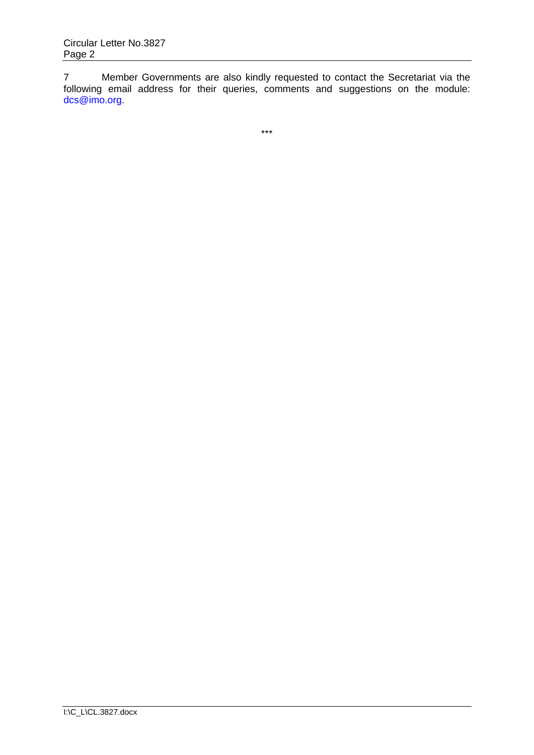7 Member Governments are also kindly requested to contact the Secretariat via the following email address for their queries, comments and suggestions on the module: [dcs@imo.org.](mailto:dcs@imo.org)

\*\*\*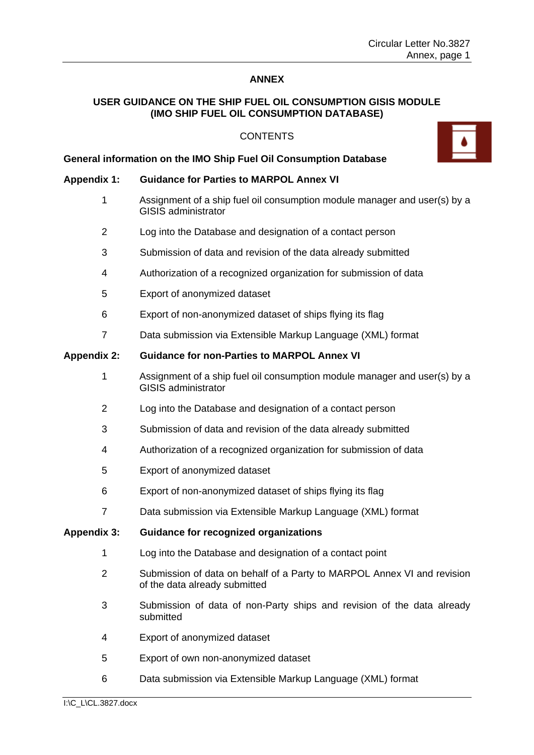### **ANNEX**

### **USER GUIDANCE ON THE SHIP FUEL OIL CONSUMPTION GISIS MODULE (IMO SHIP FUEL OIL CONSUMPTION DATABASE)**

### **CONTENTS**

### **General information on the IMO Ship Fuel Oil Consumption Database**

### **Appendix 1: Guidance for Parties to MARPOL Annex VI**

- 1 Assignment of a ship fuel oil consumption module manager and user(s) by a GISIS administrator
- 2 Log into the Database and designation of a contact person
- 3 Submission of data and revision of the data already submitted
- 4 Authorization of a recognized organization for submission of data
- 5 Export of anonymized dataset
- 6 Export of non-anonymized dataset of ships flying its flag
- 7 Data submission via Extensible Markup Language (XML) format

### **Appendix 2: Guidance for non-Parties to MARPOL Annex VI**

- 1 Assignment of a ship fuel oil consumption module manager and user(s) by a GISIS administrator
- 2 Log into the Database and designation of a contact person
- 3 Submission of data and revision of the data already submitted
- 4 Authorization of a recognized organization for submission of data
- 5 Export of anonymized dataset
- 6 Export of non-anonymized dataset of ships flying its flag
- 7 Data submission via Extensible Markup Language (XML) format

### **Appendix 3: Guidance for recognized organizations**

- 1 Log into the Database and designation of a contact point
- 2 Submission of data on behalf of a Party to MARPOL Annex VI and revision of the data already submitted
- 3 Submission of data of non-Party ships and revision of the data already submitted
- 4 Export of anonymized dataset
- 5 Export of own non-anonymized dataset
- 6 Data submission via Extensible Markup Language (XML) format

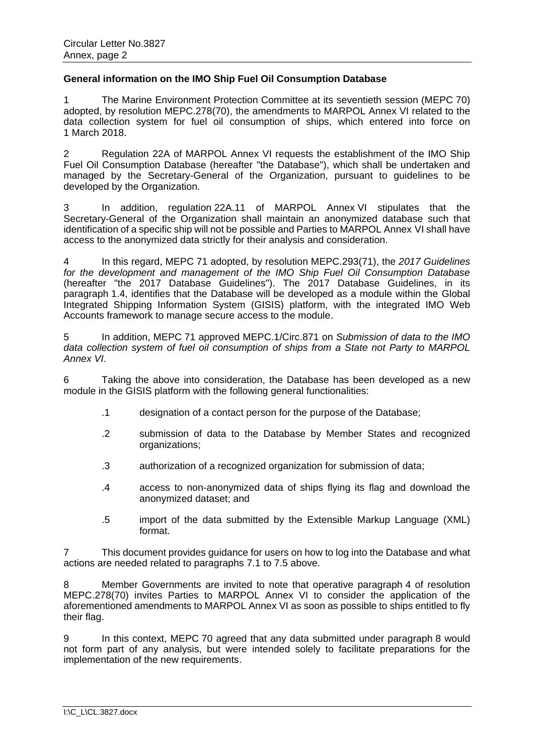### **General information on the IMO Ship Fuel Oil Consumption Database**

1 The Marine Environment Protection Committee at its seventieth session (MEPC 70) adopted, by [resolution MEPC.278\(70\),](http://www.imo.org/en/OurWork/Environment/PollutionPrevention/AirPollution/Documents/278%2870%29.pdf) the amendments to MARPOL Annex VI related to the data collection system for fuel oil consumption of ships, which entered into force on 1 March 2018.

2 Regulation 22A of MARPOL Annex VI requests the establishment of the IMO Ship Fuel Oil Consumption Database (hereafter "the Database"), which shall be undertaken and managed by the Secretary-General of the Organization, pursuant to guidelines to be developed by the Organization.

3 In addition, regulation 22A.11 of MARPOL Annex VI stipulates that the Secretary-General of the Organization shall maintain an anonymized database such that identification of a specific ship will not be possible and Parties to MARPOL Annex VI shall have access to the anonymized data strictly for their analysis and consideration.

4 In this regard, MEPC 71 adopted, by [resolution MEPC.293\(71\),](http://www.imo.org/en/OurWork/Environment/PollutionPrevention/AirPollution/Documents/Res_MEPC_293%2871%29_2017%20Guidelines%20IMO%20DCS%20database.pdf) the *2017 Guidelines for the development and management of the IMO Ship Fuel Oil Consumption Database* (hereafter "the 2017 Database Guidelines"). The 2017 Database Guidelines, in its paragraph 1.4, identifies that the Database will be developed as a module within the Global Integrated Shipping Information System (GISIS) platform, with the integrated IMO Web Accounts framework to manage secure access to the module.

5 In addition, MEPC 71 approved [MEPC.1/Circ.871](http://www.imo.org/en/OurWork/Environment/PollutionPrevention/AirPollution/Documents/MEPC_1-Circ-871-Submission%20of%20data%20of%20non-Party.pdf) on *Submission of data to the IMO data collection system of fuel oil consumption of ships from a State not Party to MARPOL Annex VI*.

6 Taking the above into consideration, the Database has been developed as a new module in the GISIS platform with the following general functionalities:

- .1 designation of a contact person for the purpose of the Database;
- .2 submission of data to the Database by Member States and recognized organizations;
- .3 authorization of a recognized organization for submission of data;
- .4 access to non-anonymized data of ships flying its flag and download the anonymized dataset; and
- .5 import of the data submitted by the Extensible Markup Language (XML) format.

7 This document provides guidance for users on how to log into the Database and what actions are needed related to paragraphs 7.1 to 7.5 above.

8 Member Governments are invited to note that operative paragraph 4 of [resolution](http://www.imo.org/en/OurWork/Environment/PollutionPrevention/AirPollution/Documents/278%2870%29.pdf)  [MEPC.278\(70\)](http://www.imo.org/en/OurWork/Environment/PollutionPrevention/AirPollution/Documents/278%2870%29.pdf) invites Parties to MARPOL Annex VI to consider the application of the aforementioned amendments to MARPOL Annex VI as soon as possible to ships entitled to fly their flag.

9 In this context, MEPC 70 agreed that any data submitted under paragraph 8 would not form part of any analysis, but were intended solely to facilitate preparations for the implementation of the new requirements.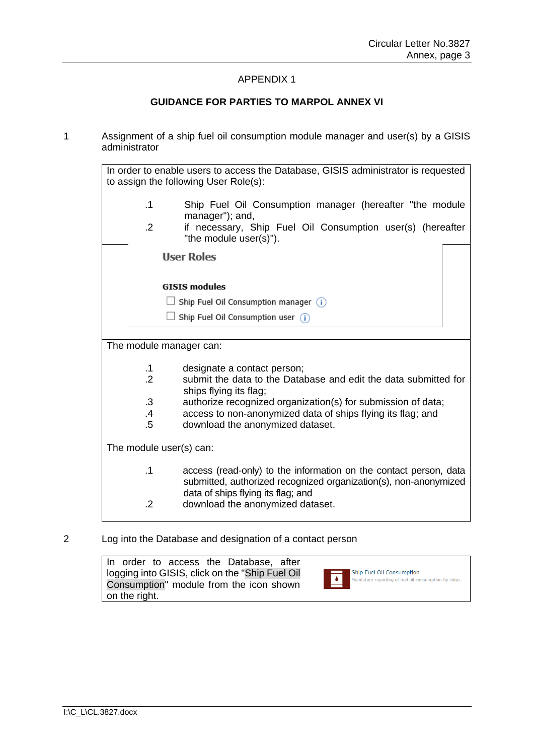### APPENDIX 1

### **GUIDANCE FOR PARTIES TO MARPOL ANNEX VI**

1 Assignment of a ship fuel oil consumption module manager and user(s) by a GISIS administrator

|                             | In order to enable users to access the Database, GISIS administrator is requested<br>to assign the following User Role(s):                                                  |
|-----------------------------|-----------------------------------------------------------------------------------------------------------------------------------------------------------------------------|
| .1                          | Ship Fuel Oil Consumption manager (hereafter "the module<br>manager"); and,                                                                                                 |
| $\cdot$ .2                  | if necessary, Ship Fuel Oil Consumption user(s) (hereafter<br>"the module user(s)").                                                                                        |
|                             | <b>User Roles</b>                                                                                                                                                           |
|                             | <b>GISIS modules</b>                                                                                                                                                        |
|                             | Ship Fuel Oil Consumption manager $(i)$                                                                                                                                     |
|                             | Ship Fuel Oil Consumption user $(i)$                                                                                                                                        |
|                             |                                                                                                                                                                             |
| The module manager can:     |                                                                                                                                                                             |
|                             |                                                                                                                                                                             |
| $\cdot$ 1<br>$\overline{2}$ | designate a contact person;<br>submit the data to the Database and edit the data submitted for                                                                              |
|                             | ships flying its flag;                                                                                                                                                      |
| $\cdot$ 3                   | authorize recognized organization(s) for submission of data;                                                                                                                |
| .4                          | access to non-anonymized data of ships flying its flag; and                                                                                                                 |
| $.5\,$                      | download the anonymized dataset.                                                                                                                                            |
| The module user(s) can:     |                                                                                                                                                                             |
| $\cdot$ 1                   | access (read-only) to the information on the contact person, data<br>submitted, authorized recognized organization(s), non-anonymized<br>data of ships flying its flag; and |
| .2                          | download the anonymized dataset.                                                                                                                                            |

### 2 Log into the Database and designation of a contact person

|               |  | In order to access the Database, after           |  |
|---------------|--|--------------------------------------------------|--|
|               |  | logging into GISIS, click on the "Ship Fuel Oil" |  |
|               |  | Consumption" module from the icon shown          |  |
| on the right. |  |                                                  |  |

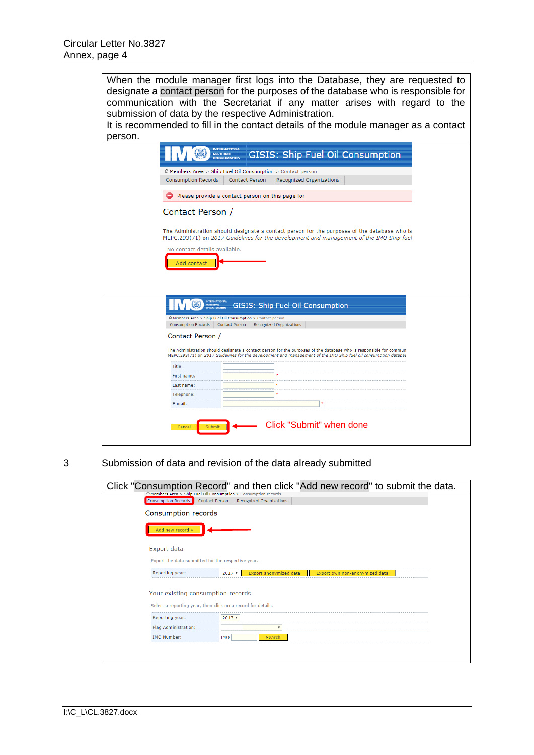| When the module manager first logs into the Database, they are requested to<br>designate a contact person for the purposes of the database who is responsible for<br>communication with the Secretariat if any matter arises with regard to the<br>submission of data by the respective Administration.<br>It is recommended to fill in the contact details of the module manager as a contact<br>person. |  |
|-----------------------------------------------------------------------------------------------------------------------------------------------------------------------------------------------------------------------------------------------------------------------------------------------------------------------------------------------------------------------------------------------------------|--|
| <b>INTERNATIONAL</b><br><b>GISIS: Ship Fuel Oil Consumption</b><br><b>MARITIME</b><br><b>ORGANIZATION</b>                                                                                                                                                                                                                                                                                                 |  |
|                                                                                                                                                                                                                                                                                                                                                                                                           |  |
| $\hat{\omega}$ Members Area > Ship Fuel Oil Consumption > Contact person                                                                                                                                                                                                                                                                                                                                  |  |
| <b>Consumption Records</b><br><b>Contact Person</b><br>Recognized Organizations                                                                                                                                                                                                                                                                                                                           |  |
| Please provide a contact person on this page for                                                                                                                                                                                                                                                                                                                                                          |  |
| Contact Person /                                                                                                                                                                                                                                                                                                                                                                                          |  |
| The Administration should designate a contact person for the purposes of the database who is<br>MEPC.293(71) on 2017 Guidelines for the development and management of the IMO Ship fuel<br>No contact details available.                                                                                                                                                                                  |  |
| Add contact                                                                                                                                                                                                                                                                                                                                                                                               |  |
| <b>INTERNATIONAL</b><br><b>GISIS: Ship Fuel Oil Consumption</b><br>MARITIME<br>ORGANIZATION                                                                                                                                                                                                                                                                                                               |  |
| thembers Area > Ship Fuel Oil Consumption > Contact person                                                                                                                                                                                                                                                                                                                                                |  |
| <b>Consumption Records</b><br>Contact Person<br>Recognized Organizations                                                                                                                                                                                                                                                                                                                                  |  |
| Contact Person /                                                                                                                                                                                                                                                                                                                                                                                          |  |
| The Administration should designate a contact person for the purposes of the database who is responsible for commun<br>MEPC.293(71) on 2017 Guidelines for the development and management of the IMO Ship fuel oil consumption databas                                                                                                                                                                    |  |
| Title:                                                                                                                                                                                                                                                                                                                                                                                                    |  |
| First name:                                                                                                                                                                                                                                                                                                                                                                                               |  |
| Last name:                                                                                                                                                                                                                                                                                                                                                                                                |  |
| Telephone:                                                                                                                                                                                                                                                                                                                                                                                                |  |
| E-mail:                                                                                                                                                                                                                                                                                                                                                                                                   |  |
|                                                                                                                                                                                                                                                                                                                                                                                                           |  |
|                                                                                                                                                                                                                                                                                                                                                                                                           |  |
| Click "Submit" when done<br>Cancel<br>Submit                                                                                                                                                                                                                                                                                                                                                              |  |
|                                                                                                                                                                                                                                                                                                                                                                                                           |  |

3 Submission of data and revision of the data already submitted

| Click "Consumption Record" and then click "Add new record" to submit the data.                    |
|---------------------------------------------------------------------------------------------------|
| $\Omega$ Members Area > Ship Fuel Oil Consumption > Consumption records                           |
| Consumption Records<br><b>Recognized Organizations</b><br><b>Contact Person</b>                   |
| Consumption records                                                                               |
| Add new record »                                                                                  |
| Export data                                                                                       |
| Export the data submitted for the respective year.                                                |
| Reporting year:<br>Export anonymized data<br>$2017$ $\tau$<br>Export own non-anonymized data      |
| Your existing consumption records<br>Select a reporting year, then click on a record for details. |
| Reporting year:<br>$2017$ $*$                                                                     |
| Flag Administration:<br>$\boldsymbol{\mathrm{v}}$                                                 |
| <b>IMO Number:</b><br><b>IMO</b><br>Search                                                        |
|                                                                                                   |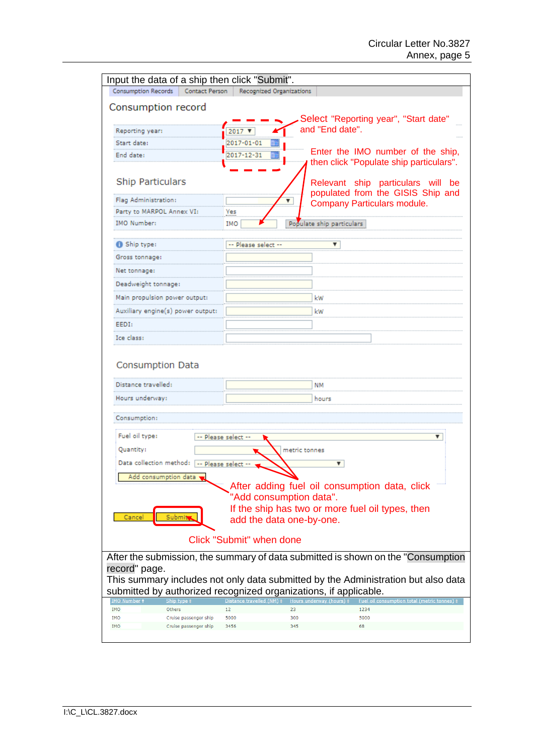| Input the data of a ship then click "Submit".                                           |                                 |                                                                                   |
|-----------------------------------------------------------------------------------------|---------------------------------|-----------------------------------------------------------------------------------|
| <b>Consumption Records</b><br>Contact Person                                            | Recognized Organizations        |                                                                                   |
| Consumption record                                                                      |                                 |                                                                                   |
|                                                                                         |                                 | Select "Reporting year", "Start date"                                             |
| Reporting year:                                                                         | 2017 ▼                          | and "End date".                                                                   |
| Start date:                                                                             | 2017-01-01<br>Ħ                 |                                                                                   |
| End date:                                                                               | 2017-12-31                      | Enter the IMO number of the ship,<br>then click "Populate ship particulars".      |
|                                                                                         |                                 |                                                                                   |
| <b>Ship Particulars</b>                                                                 |                                 | Relevant ship particulars will be<br>populated from the GISIS Ship and            |
| Flag Administration:                                                                    | ٧.                              | Company Particulars module.                                                       |
| Party to MARPOL Annex VI:                                                               | Yes                             |                                                                                   |
| IMO Number:                                                                             | IMO                             | Populate ship particulars                                                         |
| Ship type:                                                                              | -- Please select --             | ▼                                                                                 |
| Gross tonnage:                                                                          |                                 |                                                                                   |
| Net tonnage:                                                                            |                                 |                                                                                   |
| Deadweight tonnage:                                                                     |                                 |                                                                                   |
| Main propulsion power output:                                                           |                                 | kW                                                                                |
| Auxiliary engine(s) power output:                                                       |                                 | kW                                                                                |
| EEDI:                                                                                   |                                 |                                                                                   |
| Ice class:                                                                              |                                 |                                                                                   |
|                                                                                         |                                 |                                                                                   |
| Consumption Data                                                                        |                                 |                                                                                   |
| Distance travelled:                                                                     |                                 | NΜ                                                                                |
| Hours underway:                                                                         |                                 | hours                                                                             |
|                                                                                         |                                 |                                                                                   |
| Consumption:                                                                            |                                 |                                                                                   |
| Fuel oil type:                                                                          | -- Please select --             | ▼                                                                                 |
| Quantity:                                                                               | metric tonnes                   |                                                                                   |
| Data collection method: -- Please select --                                             |                                 | ▼                                                                                 |
| Add consumption data                                                                    |                                 |                                                                                   |
|                                                                                         |                                 | After adding fuel oil consumption data, click                                     |
|                                                                                         | "Add consumption data".         |                                                                                   |
| Cance                                                                                   | add the data one-by-one.        | If the ship has two or more fuel oil types, then                                  |
|                                                                                         |                                 |                                                                                   |
|                                                                                         | <b>Click "Submit" when done</b> |                                                                                   |
|                                                                                         |                                 | After the submission, the summary of data submitted is shown on the "Consumption" |
| record" page.                                                                           |                                 |                                                                                   |
|                                                                                         |                                 | This summary includes not only data submitted by the Administration but also data |
| submitted by authorized recognized organizations, if applicable.<br><u>(MO_Number</u> · |                                 | <u>Hours underway (houi</u><br><u>Fuel oil consumption total (metric tonnes</u>   |
| <b>IMO</b><br>Others                                                                    | 12<br>23                        | 1234                                                                              |
| <b>IMO</b><br>Cruise passenger ship<br><b>IMO</b><br>Cruise passenger ship              | 300<br>5000<br>3456<br>345      | 5000<br>68                                                                        |
|                                                                                         |                                 |                                                                                   |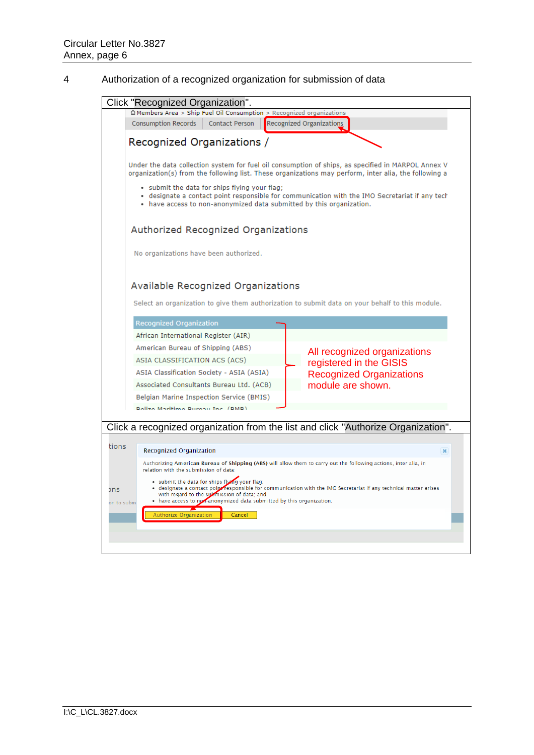## 4 Authorization of a recognized organization for submission of data

|            | Click "Recognized Organization".                                                                                                                                                                                        |                                                         |
|------------|-------------------------------------------------------------------------------------------------------------------------------------------------------------------------------------------------------------------------|---------------------------------------------------------|
|            | $\hat{\omega}$ Members Area > Ship Fuel Oil Consumption > Recognized organizations                                                                                                                                      |                                                         |
|            | <b>Consumption Records</b><br><b>Contact Person</b>                                                                                                                                                                     | Recognized Organizations                                |
|            | Recognized Organizations /                                                                                                                                                                                              |                                                         |
|            |                                                                                                                                                                                                                         |                                                         |
|            | Under the data collection system for fuel oil consumption of ships, as specified in MARPOL Annex V<br>organization(s) from the following list. These organizations may perform, inter alia, the following a             |                                                         |
|            | . submit the data for ships flying your flag;<br>• designate a contact point responsible for communication with the IMO Secretariat if any tech<br>• have access to non-anonymized data submitted by this organization. |                                                         |
|            | Authorized Recognized Organizations                                                                                                                                                                                     |                                                         |
|            | No organizations have been authorized.                                                                                                                                                                                  |                                                         |
|            | Available Recognized Organizations<br>Select an organization to give them authorization to submit data on your behalf to this module.                                                                                   |                                                         |
|            | Recognized Organization                                                                                                                                                                                                 |                                                         |
|            | African International Register (AIR)                                                                                                                                                                                    |                                                         |
|            | American Bureau of Shipping (ABS)                                                                                                                                                                                       |                                                         |
|            | ASIA CLASSIFICATION ACS (ACS)                                                                                                                                                                                           | All recognized organizations<br>registered in the GISIS |
|            | ASIA Classification Society - ASIA (ASIA)                                                                                                                                                                               | <b>Recognized Organizations</b>                         |
|            | Associated Consultants Bureau Ltd. (ACB)                                                                                                                                                                                | module are shown.                                       |
|            | Belgian Marine Inspection Service (BMIS)                                                                                                                                                                                |                                                         |
|            | <b>Dolizo Maritimo Burgau Inc. (DMD)</b>                                                                                                                                                                                |                                                         |
|            | Click a recognized organization from the list and click "Authorize Organization".                                                                                                                                       |                                                         |
|            |                                                                                                                                                                                                                         |                                                         |
| tions      | Recognized Organization                                                                                                                                                                                                 | $\mathbf{x}$                                            |
|            | Authorizing American Bureau of Shipping (ABS) will allow them to carry out the following actions, inter alia, in<br>relation with the submission of data:                                                               |                                                         |
| ons        | · submit the data for ships flying your flag;<br>. designate a contact point responsible for communication with the IMO Secretariat if any technical matter arises                                                      |                                                         |
| on to subm | with regard to the submission of data; and<br>• have access to nor-anonymized data submitted by this organization.                                                                                                      |                                                         |
|            | Authorize Organization<br>Cancel                                                                                                                                                                                        |                                                         |
|            |                                                                                                                                                                                                                         |                                                         |
|            |                                                                                                                                                                                                                         |                                                         |
|            |                                                                                                                                                                                                                         |                                                         |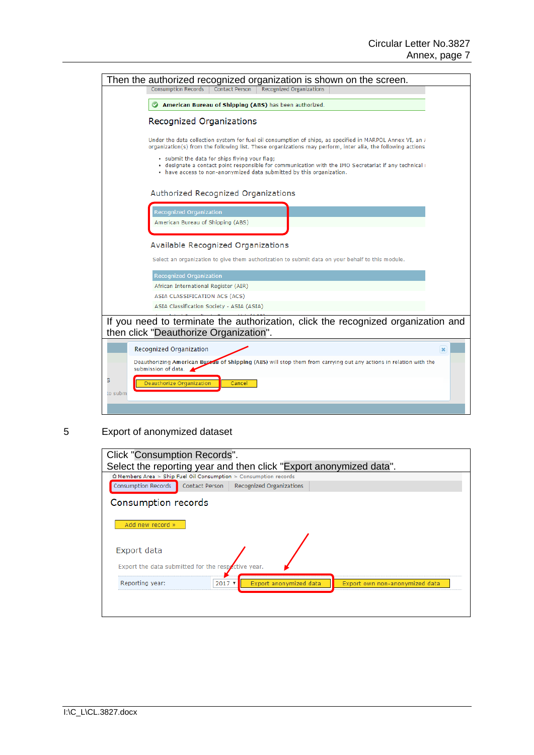| Then the authorized recognized organization is shown on the screen.                                                                                                                                                            |
|--------------------------------------------------------------------------------------------------------------------------------------------------------------------------------------------------------------------------------|
| <b>Recognized Organizations</b><br><b>Consumption Records</b><br><b>Contact Person</b>                                                                                                                                         |
| American Bureau of Shipping (ABS) has been authorized.                                                                                                                                                                         |
| Recognized Organizations                                                                                                                                                                                                       |
| Under the data collection system for fuel oil consumption of ships, as specified in MARPOL Annex VI, an /<br>organization(s) from the following list. These organizations may perform, inter alia, the following actions       |
| . submit the data for ships flying your flag;<br>· designate a contact point responsible for communication with the IMO Secretariat if any technical (<br>• have access to non-anonymized data submitted by this organization. |
| Authorized Recognized Organizations                                                                                                                                                                                            |
| Recognized Organization                                                                                                                                                                                                        |
| American Bureau of Shipping (ABS)                                                                                                                                                                                              |
|                                                                                                                                                                                                                                |
| Available Recognized Organizations                                                                                                                                                                                             |
| Select an organization to give them authorization to submit data on your behalf to this module.                                                                                                                                |
| <b>Recognized Organization</b>                                                                                                                                                                                                 |
| African International Register (AIR)                                                                                                                                                                                           |
| ASIA CLASSIFICATION ACS (ACS)                                                                                                                                                                                                  |
| ASIA Classification Society - ASIA (ASIA)                                                                                                                                                                                      |
| If you need to terminate the authorization, click the recognized organization and<br>then click "Deauthorize Organization".                                                                                                    |
| Recognized Organization<br>$\pmb{\times}$                                                                                                                                                                                      |
| Deauthorizing American Bureau of Shipping (ABS) will stop them from carrying out any actions in relation with the<br>submission of data.                                                                                       |
| Deauthorize Organization<br>Cancel<br>to subm                                                                                                                                                                                  |
|                                                                                                                                                                                                                                |

5 Export of anonymized dataset

| Click "Consumption Records".                                                                     |
|--------------------------------------------------------------------------------------------------|
| Select the reporting year and then click "Export anonymized data".                               |
| thembers Area > Ship Fuel Oil Consumption > Consumption records                                  |
| <b>Consumption Records</b><br>Contact Person<br>Recognized Organizations                         |
| Consumption records                                                                              |
| Add new record »                                                                                 |
| Export data                                                                                      |
| Export the data submitted for the respective year.                                               |
| Reporting year:<br>$2017$ $\sqrt{ }$<br>Export anonymized data<br>Export own non-anonymized data |
|                                                                                                  |
|                                                                                                  |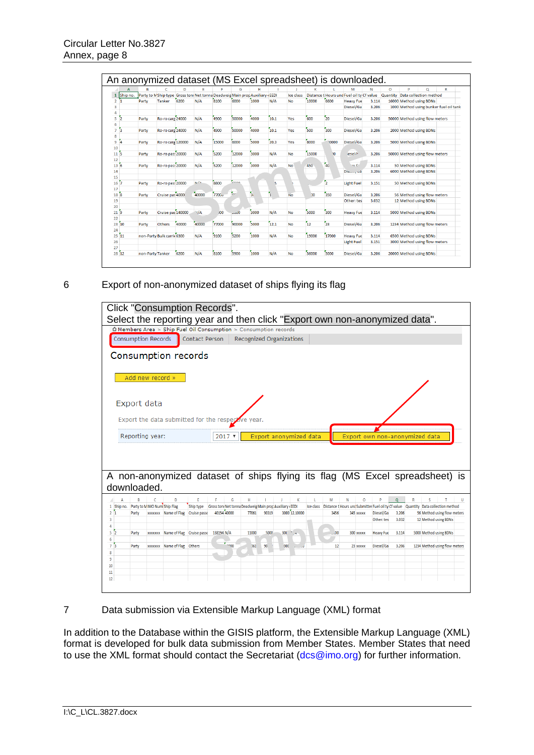|                       |               |                  |                            |       |                                                                              |                   |                          |      |      |           |              |                | An anonymized dataset (MS Excel spreadsheet) is downloaded. |       |          |                                |                                        |
|-----------------------|---------------|------------------|----------------------------|-------|------------------------------------------------------------------------------|-------------------|--------------------------|------|------|-----------|--------------|----------------|-------------------------------------------------------------|-------|----------|--------------------------------|----------------------------------------|
|                       | A             | B                | c                          | D     | F                                                                            | е                 | G                        | н    |      |           | K            |                | M                                                           | N     | $\circ$  | P                              | o<br>R                                 |
|                       | Ship no.      |                  |                            |       | Party to M Ship type Gross toni Net tonna Deadweig Main prop Auxiliary (EEDI |                   |                          |      |      | Ice class |              |                | Distance t Hours und Fuel oil ty Cf value                   |       | Quantity | Data collection method         |                                        |
| $\overline{2}$        | $\mathbf{1}$  | Party            | <b>Tanker</b>              | 6200  | N/A                                                                          | 8100              | 6000                     | 1000 | N/A  | <b>No</b> | 10000        | 6600           | <b>Heavy Fue</b>                                            | 3.114 |          | 16000 Method using BDNs        |                                        |
| 3                     |               |                  |                            |       |                                                                              |                   |                          |      |      |           |              |                | Diesel/Ga                                                   | 3.206 |          |                                | 1000 Method using bunker fuel oil tank |
| 4                     |               |                  |                            |       |                                                                              |                   |                          |      |      |           |              |                |                                                             |       |          |                                |                                        |
| 5                     | 12            | Party            | Ro-ro care 24000           |       | N/A                                                                          | 4900              | 50000                    | 4000 | 10.1 | Yes       | 600          | 20             | Diesel/Ga                                                   | 3.206 |          | 50000 Method using flow meters |                                        |
| 6                     |               |                  |                            |       |                                                                              |                   |                          |      |      |           |              |                |                                                             |       |          |                                |                                        |
| $\overline{7}$        | ĨЗ            | Party            | Ro-ro carg 24000           |       | N/A                                                                          | 4900              | 50000                    | 4000 | 10.1 | Yes       | 500          | 300            | Diesel/Ga                                                   | 3.206 |          | 2000 Method using BDNs         |                                        |
| 8                     |               |                  |                            |       |                                                                              |                   |                          |      |      |           |              |                |                                                             |       |          |                                |                                        |
| 9                     | ĨΔ            | Party            | Ro-ro carg 120000          |       | N/A                                                                          | 15000             | 6000                     | 5000 | 20.3 | Yes       | 8000         | 0000           | Diesel/Ga                                                   | 3.206 |          | 5000 Method using BDNs         |                                        |
| 10                    |               |                  |                            |       |                                                                              |                   |                          |      |      |           |              |                |                                                             |       |          |                                |                                        |
| 11                    | ís.           | Party            | Ro-ro pass 20000           |       | N/A                                                                          | 5200              | 12000                    | 3000 | N/A  | <b>No</b> | 15000        | ١o             | esel/c                                                      | 3.206 |          | 50000 Method using flow meters |                                        |
| 12                    |               |                  |                            |       |                                                                              |                   |                          |      |      |           |              |                |                                                             |       |          |                                |                                        |
| 13 <sup>6</sup>       |               | Party            | Ro-ro pass 20000           |       | N/A                                                                          | 5200              | 12000                    | 3000 | N/A  | <b>No</b> | 450          | 740            | oz Eu                                                       | 3.114 |          | 50 Method using BDNs           |                                        |
| 14                    |               |                  |                            |       |                                                                              |                   |                          |      |      |           |              |                | Diesel, ad                                                  | 3.206 |          | 6000 Method using BDNs         |                                        |
| 15                    |               |                  |                            |       |                                                                              |                   | $\epsilon$               |      |      |           |              | $\overline{2}$ |                                                             |       |          |                                |                                        |
| 16 <sup>7</sup>       |               | Party            | Ro-ro pass 20000           |       | N/A                                                                          | 8800              |                          |      |      |           |              |                | <b>Light Fuel</b>                                           | 3.151 |          | 50 Method using BDNs           |                                        |
| 17<br>18 <sup>5</sup> |               | Party            | Cruise pas 40000           |       | 40000                                                                        | 7700 <sub>v</sub> | $\overline{\phantom{a}}$ | s.   | 'n   | <b>No</b> | $\mathbf{v}$ | 350            | Diesel/Ga                                                   | 3.206 |          | 56 Method using flow meters    |                                        |
| 19                    |               |                  |                            |       |                                                                              |                   |                          |      |      |           |              |                | Other: tes                                                  | 3.032 |          | 12 Method using BDNs           |                                        |
| 20                    |               |                  |                            |       |                                                                              |                   |                          |      |      |           |              |                |                                                             |       |          |                                |                                        |
| 21 <sup>5</sup>       |               | Party            | Cruise pas 140000          |       | 1/4                                                                          | 00 <sub>0</sub>   | 0000                     | 3000 | N/A  | <b>No</b> | 5000         | 300            | <b>Heavy Fue</b>                                            | 3.114 |          | 5000 Method using BDNs         |                                        |
| 22                    |               |                  |                            |       |                                                                              |                   |                          |      |      |           |              |                |                                                             |       |          |                                |                                        |
| 23 10                 |               | Party            | <b>Others</b>              | 40000 | 40000                                                                        | 77000             | 90000                    | 5000 | 12.1 | <b>No</b> | 12           | $5^{2}$        | Diesel/Ga                                                   | 3.206 |          | 1234 Method using flow meters  |                                        |
| 24                    |               |                  |                            |       |                                                                              |                   |                          |      |      |           |              |                |                                                             |       |          |                                |                                        |
| 25                    | $\mathbf{11}$ |                  | non-Party Bulk carrie 6300 |       | N/A                                                                          | 9100              | 5200                     | 1000 | N/A  | <b>No</b> | 19000        | 17000          | <b>Heavy Fue</b>                                            | 3.114 |          | 6500 Method using BDNs         |                                        |
| 26                    |               |                  |                            |       |                                                                              |                   |                          |      |      |           |              |                | <b>Light Fuel</b>                                           | 3.151 |          | 3000 Method using flow meters  |                                        |
| 27                    |               |                  |                            |       |                                                                              |                   |                          |      |      |           |              |                |                                                             |       |          |                                |                                        |
| $28^{6}12$            |               | non-Party Tanker |                            | 6200  | N/A                                                                          | 8100              | 5900                     | 1000 | N/A  | <b>No</b> | 56000        | 5000           | Diesel/Ga                                                   | 3.206 |          | 20000 Method using BDNs        |                                        |

### 6 Export of non-anonymized dataset of ships flying its flag

| Select the reporting year and then click "Export own non-anonymized data".<br>$\hat{\Omega}$ Members Area > Ship Fuel Oil Consumption > Consumption records<br><b>Consumption Records</b><br><b>Contact Person</b><br><b>Recognized Organizations</b> |                               |   |
|-------------------------------------------------------------------------------------------------------------------------------------------------------------------------------------------------------------------------------------------------------|-------------------------------|---|
|                                                                                                                                                                                                                                                       |                               |   |
|                                                                                                                                                                                                                                                       |                               |   |
|                                                                                                                                                                                                                                                       |                               |   |
| Consumption records                                                                                                                                                                                                                                   |                               |   |
| Add new record »                                                                                                                                                                                                                                      |                               |   |
|                                                                                                                                                                                                                                                       |                               |   |
| Export data                                                                                                                                                                                                                                           |                               |   |
| Export the data submitted for the respective year.                                                                                                                                                                                                    |                               |   |
|                                                                                                                                                                                                                                                       |                               |   |
| Reporting year:<br>Export anonymized data<br>Export own non-anonymized data<br>$2017$ $*$                                                                                                                                                             |                               |   |
|                                                                                                                                                                                                                                                       |                               |   |
|                                                                                                                                                                                                                                                       |                               |   |
| A non-anonymized dataset of ships flying its flag (MS Excel spreadsheet) is                                                                                                                                                                           |                               |   |
| downloaded.                                                                                                                                                                                                                                           |                               |   |
| G<br>н<br>$\mathsf{K}$<br>$\overline{O}$<br>p<br>$\Omega$<br>D<br>E<br>F<br>$\mathbf{I}$<br>J.<br>L.<br>M<br>N<br>R<br>B<br>c<br>A                                                                                                                    | s                             | U |
| 1 Ship no. Party to MIMO Num Ship Flag<br>Ship type Gross toni Net tonna Deadweig Main prop Auxiliary (EEDI<br>Ice class Distance t Hours und Submitter Fuel oil ty Cf value Quantity Data collection method                                          |                               |   |
| 40154 40000<br>3000 12.10000<br>$2^{1}$<br>xxxxxxx Name of Flag Cruise passe<br>77061<br>90319<br>3456<br>Diesel/Ga<br>3.206<br>Party<br>345 xxxxx                                                                                                    | 56 Method using flow meters   |   |
| Other: tes<br>3.032<br>3                                                                                                                                                                                                                              | 12 Method using BDNs          |   |
| 4<br>xxxxxxx Name of Flag Cruise passe 138194 N/A<br>5 <sup>2</sup><br>11000<br>5000<br>300 <sub>cm</sub><br>.00<br><b>Heavy Fue</b><br>3.114<br>Party<br>300 xxxxx                                                                                   | 5000 Method using BDNs        |   |
| 6                                                                                                                                                                                                                                                     |                               |   |
| $5 - 200$<br>xxxxxxx Name of Flag Others<br>90.<br>73<br>061<br>000<br>Diesel/Ga<br>3.206<br>Party<br>12<br>23 XXXXX                                                                                                                                  | 1234 Method using flow meters |   |
| 8                                                                                                                                                                                                                                                     |                               |   |
| 9                                                                                                                                                                                                                                                     |                               |   |
| 10<br>11                                                                                                                                                                                                                                              |                               |   |
|                                                                                                                                                                                                                                                       |                               |   |
| 12                                                                                                                                                                                                                                                    |                               |   |

7 Data submission via Extensible Markup Language (XML) format

In addition to the Database within the GISIS platform, the Extensible Markup Language (XML) format is developed for bulk data submission from Member States. Member States that need to use the XML format should contact the Secretariat [\(dcs@imo.org\)](mailto:dcs@imo.org) for further information.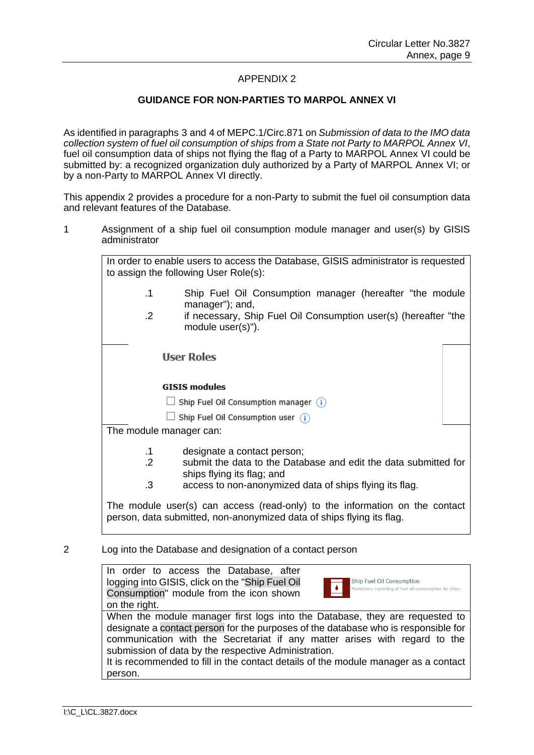### APPENDIX 2

### **GUIDANCE FOR NON-PARTIES TO MARPOL ANNEX VI**

As identified in paragraphs 3 and 4 of [MEPC.1/Circ.871](http://www.imo.org/en/OurWork/Environment/PollutionPrevention/AirPollution/Documents/MEPC_1-Circ-871-Submission%20of%20data%20of%20non-Party.pdf) on *Submission of data to the IMO data collection system of fuel oil consumption of ships from a State not Party to MARPOL Annex VI*, fuel oil consumption data of ships not flying the flag of a Party to MARPOL Annex VI could be submitted by: a recognized organization duly authorized by a Party of MARPOL Annex VI; or by a non-Party to MARPOL Annex VI directly.

This appendix 2 provides a procedure for a non-Party to submit the fuel oil consumption data and relevant features of the Database.

1 Assignment of a ship fuel oil consumption module manager and user(s) by GISIS administrator

|                         | In order to enable users to access the Database, GISIS administrator is requested<br>to assign the following User Role(s):                           |
|-------------------------|------------------------------------------------------------------------------------------------------------------------------------------------------|
| $\cdot$ 1               | Ship Fuel Oil Consumption manager (hereafter "the module<br>manager"); and,                                                                          |
| $\cdot$ 2               | if necessary, Ship Fuel Oil Consumption user(s) (hereafter "the<br>module user(s)").                                                                 |
|                         | <b>User Roles</b>                                                                                                                                    |
|                         | <b>GISIS modules</b>                                                                                                                                 |
|                         | Ship Fuel Oil Consumption manager $(i)$                                                                                                              |
|                         | Ship Fuel Oil Consumption user $(i)$                                                                                                                 |
| The module manager can: |                                                                                                                                                      |
| .1                      | designate a contact person;                                                                                                                          |
| $\cdot$ 2               | submit the data to the Database and edit the data submitted for<br>ships flying its flag; and                                                        |
| $\cdot$ 3               | access to non-anonymized data of ships flying its flag.                                                                                              |
|                         | The module user(s) can access (read-only) to the information on the contact<br>person, data submitted, non-anonymized data of ships flying its flag. |

### 2 Log into the Database and designation of a contact person

In order to access the Database, after logging into GISIS, click on the "Ship Fuel Oil Consumption" module from the icon shown on the right.



When the module manager first logs into the Database, they are requested to designate a contact person for the purposes of the database who is responsible for communication with the Secretariat if any matter arises with regard to the submission of data by the respective Administration.

It is recommended to fill in the contact details of the module manager as a contact person.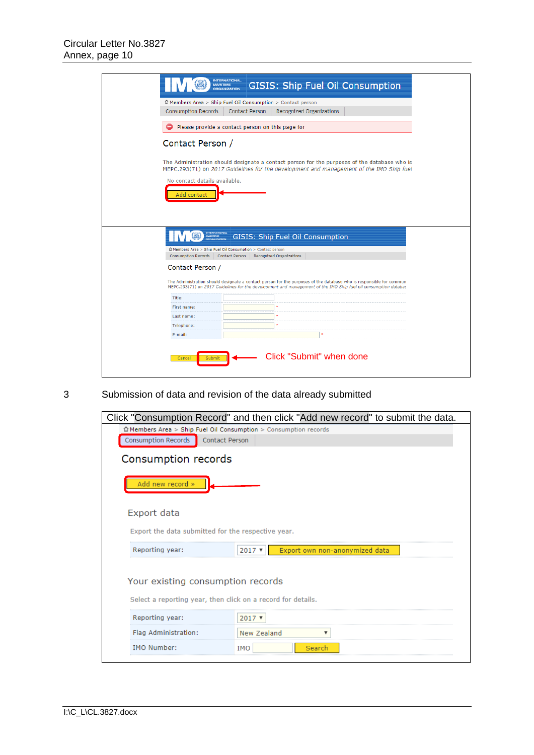|                                                        | <b>INTERNATIONAL</b><br>GISIS: Ship Fuel Oil Consumption<br><b>MARITIME</b><br><b>ORGANIZATION</b>                                                                                                                                     |
|--------------------------------------------------------|----------------------------------------------------------------------------------------------------------------------------------------------------------------------------------------------------------------------------------------|
| <b>Consumption Records</b>                             | △ Members Area > Ship Fuel Oil Consumption > Contact person<br><b>Recognized Organizations</b><br><b>Contact Person</b>                                                                                                                |
|                                                        | Please provide a contact person on this page for                                                                                                                                                                                       |
|                                                        |                                                                                                                                                                                                                                        |
| Contact Person /                                       |                                                                                                                                                                                                                                        |
|                                                        | The Administration should designate a contact person for the purposes of the database who is<br>MEPC.293(71) on 2017 Guidelines for the development and management of the IMO Ship fuel                                                |
| No contact details available.<br>Add contact           |                                                                                                                                                                                                                                        |
|                                                        |                                                                                                                                                                                                                                        |
| <b>NTERNATIONAL</b><br><b>MARITIME</b><br>ORGANIZATION | GISIS: Ship Fuel Oil Consumption                                                                                                                                                                                                       |
| <b>Consumption Records</b>                             | Members Area > Ship Fuel Oil Consumption > Contact person<br><b>Recognized Organizations</b><br><b>Contact Person</b>                                                                                                                  |
| Contact Person /                                       |                                                                                                                                                                                                                                        |
|                                                        | The Administration should designate a contact person for the purposes of the database who is responsible for commun<br>MEPC.293(71) on 2017 Guidelines for the development and management of the IMO Ship fuel oil consumption databas |
| Title:                                                 | si:                                                                                                                                                                                                                                    |
| First name:                                            |                                                                                                                                                                                                                                        |
| Last name:<br>Telephone:                               | s).                                                                                                                                                                                                                                    |

# 3 Submission of data and revision of the data already submitted

|                                                                                                                                                                                                       | Click "Consumption Record" and then click "Add new record" to submit the data. |
|-------------------------------------------------------------------------------------------------------------------------------------------------------------------------------------------------------|--------------------------------------------------------------------------------|
| $\hat{\Omega}$ Members Area > Ship Fuel Oil Consumption > Consumption records                                                                                                                         |                                                                                |
| Consumption Records<br><b>Contact Person</b>                                                                                                                                                          |                                                                                |
| Consumption records                                                                                                                                                                                   |                                                                                |
| Add new record »                                                                                                                                                                                      |                                                                                |
| Export data                                                                                                                                                                                           |                                                                                |
|                                                                                                                                                                                                       |                                                                                |
| Reporting year:                                                                                                                                                                                       | $2017$ $\tau$<br>Export own non-anonymized data                                |
|                                                                                                                                                                                                       |                                                                                |
| Reporting year:                                                                                                                                                                                       | $2017$ $\sqrt{ }$                                                              |
| Flag Administration:                                                                                                                                                                                  | <b>New Zealand</b>                                                             |
| Export the data submitted for the respective year.<br>Your existing consumption records<br>Select a reporting year, then click on a record for details.<br><b>IMO Number:</b><br><b>IMO</b><br>Search |                                                                                |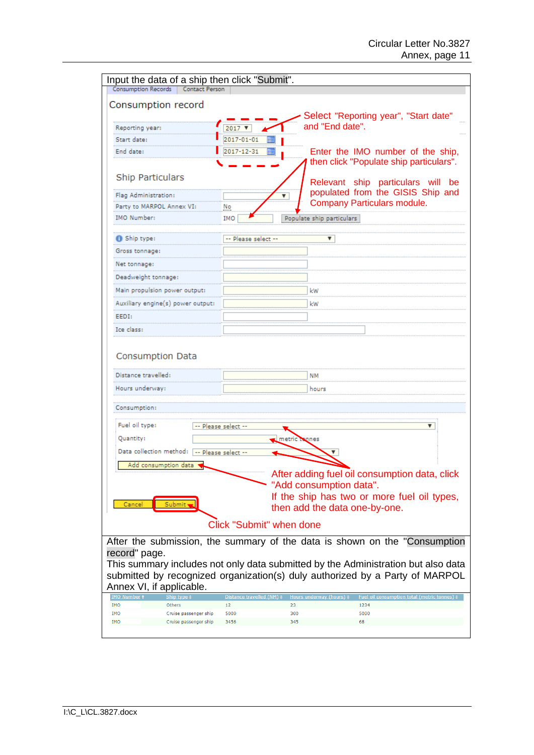| Input the data of a ship then click "Submit".<br><b>Consumption Records</b><br><b>Contact Person</b> |                                 |                                                                                             |
|------------------------------------------------------------------------------------------------------|---------------------------------|---------------------------------------------------------------------------------------------|
|                                                                                                      |                                 |                                                                                             |
| Consumption record                                                                                   |                                 |                                                                                             |
|                                                                                                      |                                 | Select "Reporting year", "Start date"<br>and "End date".                                    |
| Reporting year:                                                                                      | $2017$ $\blacktriangledown$     |                                                                                             |
| Start date:<br>End date:                                                                             | 2017-01-01<br>2017-12-31        |                                                                                             |
|                                                                                                      |                                 | Enter the IMO number of the ship,<br>then click "Populate ship particulars".                |
|                                                                                                      |                                 |                                                                                             |
| <b>Ship Particulars</b>                                                                              |                                 | Relevant ship particulars will be                                                           |
| Flag Administration:                                                                                 |                                 | populated from the GISIS Ship and<br>▼                                                      |
| Party to MARPOL Annex VI:                                                                            | No                              | Company Particulars module.                                                                 |
| <b>IMO Number:</b>                                                                                   | IMO                             | Populate ship particulars                                                                   |
| <b>6</b> Ship type:                                                                                  | -- Please select --             | ▼                                                                                           |
| Gross tonnage:                                                                                       |                                 |                                                                                             |
|                                                                                                      |                                 |                                                                                             |
| Net tonnage:                                                                                         |                                 |                                                                                             |
| Deadweight tonnage:                                                                                  |                                 |                                                                                             |
| Main propulsion power output:                                                                        |                                 | kW                                                                                          |
| Auxiliary engine(s) power output:                                                                    |                                 | kW                                                                                          |
| EEDI:                                                                                                |                                 |                                                                                             |
| Ice class:                                                                                           |                                 |                                                                                             |
| Distance travelled:                                                                                  |                                 | NΜ                                                                                          |
| Hours underway:                                                                                      |                                 | hours                                                                                       |
| Consumption:                                                                                         |                                 |                                                                                             |
| Fuel oil type:                                                                                       | -- Please select --             | ▼                                                                                           |
| Quantity:                                                                                            |                                 | metric tonnes                                                                               |
| Data collection method: -- Please select --                                                          |                                 |                                                                                             |
| Add consumption data                                                                                 |                                 |                                                                                             |
|                                                                                                      |                                 | After adding fuel oil consumption data, click                                               |
|                                                                                                      |                                 | "Add consumption data".                                                                     |
|                                                                                                      |                                 | If the ship has two or more fuel oil types,                                                 |
| Submit,<br>Cancel                                                                                    |                                 | then add the data one-by-one.                                                               |
|                                                                                                      | <b>Click "Submit" when done</b> |                                                                                             |
|                                                                                                      |                                 | After the submission, the summary of the data is shown on the "Consumption"                 |
| record" page.                                                                                        |                                 |                                                                                             |
|                                                                                                      |                                 | This summary includes not only data submitted by the Administration but also data           |
|                                                                                                      |                                 | submitted by recognized organization(s) duly authorized by a Party of MARPOL                |
| Annex VI, if applicable.                                                                             |                                 |                                                                                             |
| <b>IMO Number</b><br><b>IMO</b><br>Others                                                            | Distance travelled (NM)<br>12   | Hours underway (hours) 1<br><b>Fuel oil consumption total (metric tonnes)</b><br>23<br>1234 |
| IMO<br>Cruise passenger ship                                                                         | 5000                            | 300<br>5000                                                                                 |
| <b>IMO</b><br>Cruise passenger ship                                                                  | 3456                            | 345<br>68                                                                                   |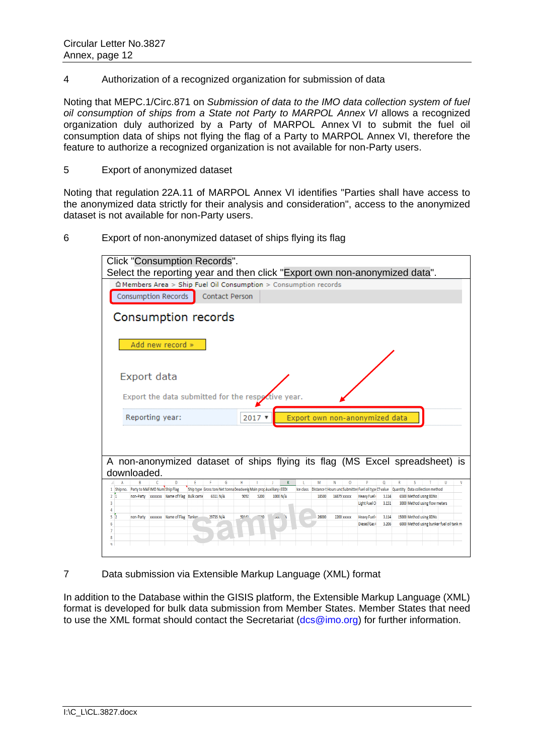4 Authorization of a recognized organization for submission of data

Noting that [MEPC.1/Circ.871](http://www.imo.org/en/OurWork/Environment/PollutionPrevention/AirPollution/Documents/MEPC_1-Circ-871-Submission%20of%20data%20of%20non-Party.pdf) on *Submission of data to the IMO data collection system of fuel oil consumption of ships from a State not Party to MARPOL Annex VI* allows a recognized organization duly authorized by a Party of MARPOL Annex VI to submit the fuel oil consumption data of ships not flying the flag of a Party to MARPOL Annex VI, therefore the feature to authorize a recognized organization is not available for non-Party users.

5 Export of anonymized dataset

Noting that regulation 22A.11 of MARPOL Annex VI identifies "Parties shall have access to the anonymized data strictly for their analysis and consideration", access to the anonymized dataset is not available for non-Party users.

6 Export of non-anonymized dataset of ships flying its flag

| Click "Consumption Records".                                                                                                                                                                                                                                                                   |  |
|------------------------------------------------------------------------------------------------------------------------------------------------------------------------------------------------------------------------------------------------------------------------------------------------|--|
| Select the reporting year and then click "Export own non-anonymized data".                                                                                                                                                                                                                     |  |
| $\hat{\omega}$ Members Area > Ship Fuel Oil Consumption > Consumption records                                                                                                                                                                                                                  |  |
| <b>Consumption Records</b><br><b>Contact Person</b>                                                                                                                                                                                                                                            |  |
| Consumption records                                                                                                                                                                                                                                                                            |  |
| Add new record »                                                                                                                                                                                                                                                                               |  |
| Export data                                                                                                                                                                                                                                                                                    |  |
| Export the data submitted for the respotive year.                                                                                                                                                                                                                                              |  |
| Reporting year:<br>Export own non-anonymized data<br>$2017$ $*$                                                                                                                                                                                                                                |  |
|                                                                                                                                                                                                                                                                                                |  |
| A non-anonymized dataset of ships flying its flag (MS Excel spreadsheet) is                                                                                                                                                                                                                    |  |
| downloaded.                                                                                                                                                                                                                                                                                    |  |
| D<br>Ε<br>G<br>Н<br>M<br>N<br>$\circ$<br>$\Omega$<br>s<br>A<br>T<br>R<br>U<br>1 Ship no. Party to MAFIMO Num Ship Flag<br>Ship type Gross toni Net tonna Deadweig Main prop Auxiliary (EEDI<br>Ice class Distance t Hours und Submitter Fuel oil type Cf value Quantity Data collection method |  |
| 2 <sub>1</sub><br>non-Party xxxxxxx Name of Flag Bulk carrie<br>6311 N/A<br>9092<br>1000 N/A<br>6500 Method using BDNs<br>5200<br>18500<br>16879 xxxxx<br><b>Heavy Fuel</b><br>3.114                                                                                                           |  |
| 3.151<br>3000 Method using flow meters<br>$\overline{3}$<br>Light Fuel O                                                                                                                                                                                                                       |  |
| xxxxxx Name of Flag Tanker<br>50143<br>26000<br>15000 Method using BDNs<br>29735 N/A<br>Heavy Fuel (<br>5 <sup>2</sup><br>non-Party<br>JUU A<br>2200 xxxxx<br>3.114                                                                                                                            |  |
| Diesel/Gas (<br>3.206<br>6000 Method using bunker fuel oil tank m<br>6                                                                                                                                                                                                                         |  |
| 7<br>8                                                                                                                                                                                                                                                                                         |  |
| q                                                                                                                                                                                                                                                                                              |  |
|                                                                                                                                                                                                                                                                                                |  |

7 Data submission via Extensible Markup Language (XML) format

In addition to the Database within the GISIS platform, the Extensible Markup Language (XML) format is developed for bulk data submission from Member States. Member States that need to use the XML format should contact the Secretariat [\(dcs@imo.org\)](mailto:dcs@imo.org) for further information.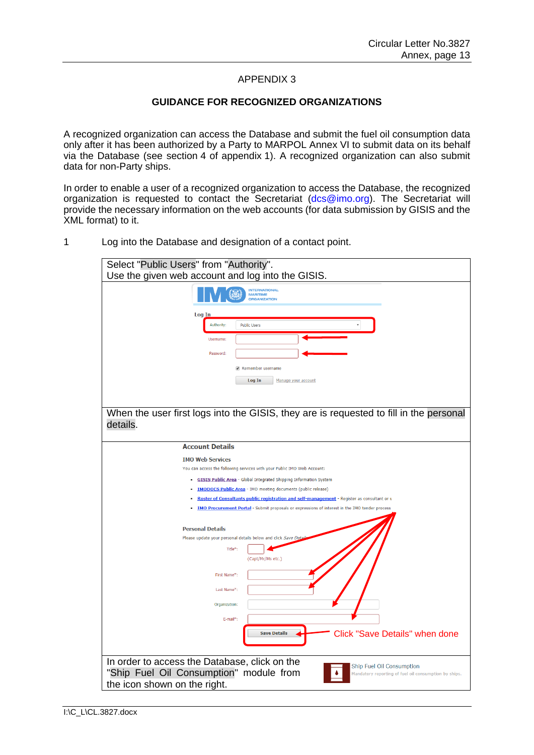### APPENDIX 3

### **GUIDANCE FOR RECOGNIZED ORGANIZATIONS**

A recognized organization can access the Database and submit the fuel oil consumption data only after it has been authorized by a Party to MARPOL Annex VI to submit data on its behalf via the Database (see section 4 of appendix 1). A recognized organization can also submit data for non-Party ships.

In order to enable a user of a recognized organization to access the Database, the recognized organization is requested to contact the Secretariat [\(dcs@imo.org\)](mailto:dcs@imo.org). The Secretariat will provide the necessary information on the web accounts (for data submission by GISIS and the XML format) to it.

1 Log into the Database and designation of a contact point.

| Select "Public Users" from "Authority".<br>Use the given web account and log into the GISIS.          |
|-------------------------------------------------------------------------------------------------------|
|                                                                                                       |
| <b>INTERNATIONAL</b><br><b>MARITIME</b><br>ORGANIZATION                                               |
| Log In                                                                                                |
| Authority:<br><b>Public Users</b>                                                                     |
| Username:                                                                                             |
|                                                                                                       |
| Password:                                                                                             |
| Remember username                                                                                     |
| Log In<br>Manage your account                                                                         |
|                                                                                                       |
|                                                                                                       |
| When the user first logs into the GISIS, they are is requested to fill in the personal                |
| details.                                                                                              |
|                                                                                                       |
| <b>Account Details</b>                                                                                |
| <b>IMO Web Services</b>                                                                               |
| You can access the following services with your Public IMO Web Account:                               |
| <b>GISIS Public Area</b> - Global Integrated Shipping Information System                              |
| <b>IMODOCS Public Area</b> - IMO meeting documents (public release)                                   |
| Roster of Consultants public registration and self-management - Register as consultant or u           |
| <b>IMO Procurement Portal</b> - Submit proposals or expressions of interest in the IMO tender process |
|                                                                                                       |
| <b>Personal Details</b><br>Please update your personal details below and click Save Detai             |
| Title*:                                                                                               |
| (Capt/Mr/Ms etc.)                                                                                     |
|                                                                                                       |
| First Name*:                                                                                          |
| Last Name*:                                                                                           |
| Organization:                                                                                         |
| E-mail*:                                                                                              |
| <b>Click "Save Details" when done</b><br><b>Save Details</b>                                          |
|                                                                                                       |
|                                                                                                       |
| In order to access the Database, click on the<br>Ship Fuel Oil Consumption                            |
| "Ship Fuel Oil Consumption" module from<br>Mandatory reporting of fuel oil consumption by ships.      |
| the icon shown on the right.                                                                          |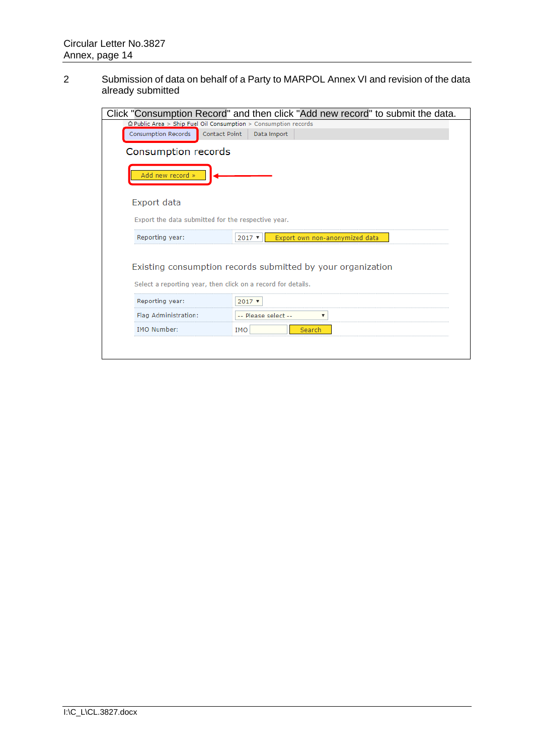2 Submission of data on behalf of a Party to MARPOL Annex VI and revision of the data already submitted

|                                                                                                                                                                                                                                                                   | Click "Consumption Record" and then click "Add new record" to submit the data. |  |  |  |  |  |  |  |  |
|-------------------------------------------------------------------------------------------------------------------------------------------------------------------------------------------------------------------------------------------------------------------|--------------------------------------------------------------------------------|--|--|--|--|--|--|--|--|
| $\hat{\omega}$ Public Area > Ship Fuel Oil Consumption > Consumption records                                                                                                                                                                                      |                                                                                |  |  |  |  |  |  |  |  |
| Consumption Records<br>Contact Point                                                                                                                                                                                                                              | Data Import                                                                    |  |  |  |  |  |  |  |  |
| Consumption records                                                                                                                                                                                                                                               |                                                                                |  |  |  |  |  |  |  |  |
| Add new record »                                                                                                                                                                                                                                                  |                                                                                |  |  |  |  |  |  |  |  |
| Export data                                                                                                                                                                                                                                                       |                                                                                |  |  |  |  |  |  |  |  |
|                                                                                                                                                                                                                                                                   |                                                                                |  |  |  |  |  |  |  |  |
| Reporting year:                                                                                                                                                                                                                                                   | Export own non-anonymized data<br>$2017$ $\sqrt{ }$                            |  |  |  |  |  |  |  |  |
| Export the data submitted for the respective year.<br>Existing consumption records submitted by your organization<br>Select a reporting year, then click on a record for details.<br>Reporting year:<br>$2017$ $*$<br>Flag Administration:<br>-- Please select -- |                                                                                |  |  |  |  |  |  |  |  |
|                                                                                                                                                                                                                                                                   |                                                                                |  |  |  |  |  |  |  |  |
|                                                                                                                                                                                                                                                                   |                                                                                |  |  |  |  |  |  |  |  |
| <b>IMO Number:</b><br><b>IMO</b><br>Search                                                                                                                                                                                                                        |                                                                                |  |  |  |  |  |  |  |  |
|                                                                                                                                                                                                                                                                   |                                                                                |  |  |  |  |  |  |  |  |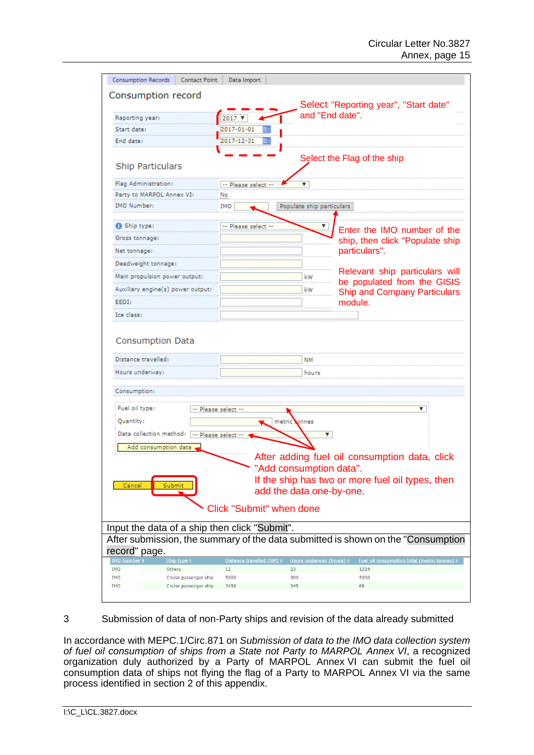| <b>Consumption Records</b><br><b>Contact Point</b>          | Data Import                     |                           |                                                                                   |  |  |  |  |  |  |  |
|-------------------------------------------------------------|---------------------------------|---------------------------|-----------------------------------------------------------------------------------|--|--|--|--|--|--|--|
| Consumption record                                          |                                 |                           |                                                                                   |  |  |  |  |  |  |  |
|                                                             |                                 |                           | Select "Reporting year", "Start date"                                             |  |  |  |  |  |  |  |
| Reporting year:                                             | $2017$ $V$                      |                           | and "End date".                                                                   |  |  |  |  |  |  |  |
| Start date:                                                 | 2017-01-01                      |                           |                                                                                   |  |  |  |  |  |  |  |
| End date:                                                   | 2017-12-31                      |                           |                                                                                   |  |  |  |  |  |  |  |
| <b>Ship Particulars</b>                                     |                                 |                           | Select the Flag of the ship                                                       |  |  |  |  |  |  |  |
| Flag Administration:                                        | -- Please select                | ▼                         |                                                                                   |  |  |  |  |  |  |  |
| Party to MARPOL Annex VI:                                   | No                              |                           |                                                                                   |  |  |  |  |  |  |  |
| <b>IMO Number:</b>                                          | IMO                             | Populate ship particulars |                                                                                   |  |  |  |  |  |  |  |
|                                                             |                                 |                           |                                                                                   |  |  |  |  |  |  |  |
| Ship type:<br>Gross tonnage:                                | -- Please select -              |                           | Enter the IMO number of the                                                       |  |  |  |  |  |  |  |
|                                                             |                                 |                           | ship, then click "Populate ship<br>particulars".                                  |  |  |  |  |  |  |  |
| Net tonnage:                                                |                                 |                           |                                                                                   |  |  |  |  |  |  |  |
| Deadweight tonnage:<br>Main propulsion power output:        |                                 | kW                        | Relevant ship particulars will                                                    |  |  |  |  |  |  |  |
| Auxiliary engine(s) power output:                           |                                 | kW                        | be populated from the GISIS                                                       |  |  |  |  |  |  |  |
| EEDI:                                                       |                                 |                           | <b>Ship and Company Particulars</b><br>module.                                    |  |  |  |  |  |  |  |
| Ice class:                                                  |                                 |                           |                                                                                   |  |  |  |  |  |  |  |
|                                                             |                                 |                           |                                                                                   |  |  |  |  |  |  |  |
| Consumption Data                                            |                                 |                           |                                                                                   |  |  |  |  |  |  |  |
| Distance travelled:                                         |                                 | NΜ                        |                                                                                   |  |  |  |  |  |  |  |
| Hours underway:                                             |                                 | hours                     |                                                                                   |  |  |  |  |  |  |  |
| Consumption:                                                |                                 |                           |                                                                                   |  |  |  |  |  |  |  |
| Fuel oil type:                                              | -- Please select --             |                           | ▼                                                                                 |  |  |  |  |  |  |  |
| Quantity:                                                   | metric                          | onnes                     |                                                                                   |  |  |  |  |  |  |  |
| Data collection method: -- Please select --                 |                                 | $\blacktriangledown$      |                                                                                   |  |  |  |  |  |  |  |
|                                                             |                                 |                           |                                                                                   |  |  |  |  |  |  |  |
| Add consumption data                                        |                                 |                           | After adding fuel oil consumption data, click                                     |  |  |  |  |  |  |  |
|                                                             |                                 | "Add consumption data"    |                                                                                   |  |  |  |  |  |  |  |
|                                                             |                                 |                           | If the ship has two or more fuel oil types, then                                  |  |  |  |  |  |  |  |
| Cancel<br>Submi                                             |                                 | add the data one-by-one.  |                                                                                   |  |  |  |  |  |  |  |
|                                                             |                                 |                           |                                                                                   |  |  |  |  |  |  |  |
|                                                             | <b>Click "Submit" when done</b> |                           |                                                                                   |  |  |  |  |  |  |  |
| Input the data of a ship then click "Submit".               |                                 |                           |                                                                                   |  |  |  |  |  |  |  |
|                                                             |                                 |                           | After submission, the summary of the data submitted is shown on the "Consumption" |  |  |  |  |  |  |  |
| record" page.                                               |                                 |                           |                                                                                   |  |  |  |  |  |  |  |
| <b>MO Numbe</b><br>Ship type t                              | Distance travelled (NM) \$      | Hours underway (hours) #  | Fuel oil consumption total (metric tonnes) #                                      |  |  |  |  |  |  |  |
| <b>IMO</b><br>Others<br><b>IMO</b><br>Cruise passenger ship | 12<br>5000                      | 23<br>300                 | 1234<br>5000                                                                      |  |  |  |  |  |  |  |
| <b>IMO</b><br>Cruise passenger ship                         | 3456                            | 345                       | 68                                                                                |  |  |  |  |  |  |  |
|                                                             |                                 |                           |                                                                                   |  |  |  |  |  |  |  |

3 Submission of data of non-Party ships and revision of the data already submitted

In accordance with [MEPC.1/Circ.871](http://www.imo.org/en/OurWork/Environment/PollutionPrevention/AirPollution/Documents/MEPC_1-Circ-871-Submission%20of%20data%20of%20non-Party.pdf) on *Submission of data to the IMO data collection system of fuel oil consumption of ships from a State not Party to MARPOL Annex VI*, a recognized organization duly authorized by a Party of MARPOL Annex VI can submit the fuel oil consumption data of ships not flying the flag of a Party to MARPOL Annex VI via the same process identified in section 2 of this appendix.